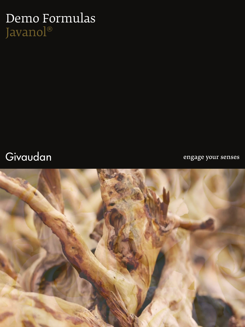# Demo Formulas Javanol®

### Givaudan

engage your senses

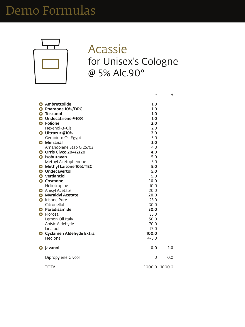

#### Acassie for Unisex's Cologne @ 5% Alc.90°

|                            | $\mathbf{r}$ |
|----------------------------|--------------|
| <b>G</b> Ambrettolide      | 1.0          |
| C Pharaone 10%/DPG         | 1.0          |
| <b>Toscanol</b><br>G       | 1.0          |
| <b>G</b> Undecatriene @10% | 1.0          |
| <b>G</b> Folione           | 2.0          |
| Hexenol-3-Cis              | 2.0          |
| <b>C</b> Ultrazur @10%     | 2.0          |
| Geranium Oil Egypt         | 3.0          |
| <b>Mefranal</b>            | 3 U          |

| $\bigodot$ | <b>Mefranal</b>                  | 3.0    |        |
|------------|----------------------------------|--------|--------|
|            | Amandolene Stab G 25703          | 4.0    |        |
|            | <b>G</b> Orris Givco 204/2/20    | 4.0    |        |
| $\bullet$  | Isobutavan                       | 5.0    |        |
|            | Methyl Acetophenone              | 5.0    |        |
| $\bullet$  | <b>Methyl Laitone 10%/TEC</b>    | 5.0    |        |
|            | <b>e</b> Undecavertol            | 5.0    |        |
| $\bullet$  | <b>Verdantiol</b>                | 5.0    |        |
| G          | <b>Cosmone</b>                   | 10.0   |        |
|            | Heliotropine                     | 10.0   |        |
|            | <b>G</b> Anisyl Acetate          | 20.0   |        |
| G          | <b>Myraldyl Acetate</b>          | 20.0   |        |
| G          | <b>Irisone Pure</b>              | 25.0   |        |
|            | Citronellol                      | 30.0   |        |
|            | Paradisamide                     | 30.0   |        |
| $\bullet$  | Florosa                          | 35.0   |        |
|            | Lemon Oil Italy                  | 50.0   |        |
|            | Anisic Aldehyde                  | 70.0   |        |
|            | Linalool                         | 75.0   |        |
|            | <b>G</b> Cyclamen Aldehyde Extra | 100.0  |        |
|            | Hedione                          | 475.0  |        |
|            |                                  |        |        |
|            | <b>G</b> Javanol                 | 0.0    | 1.0    |
|            | Dipropylene Glycol               | 1.0    | 0.0    |
|            | <b>TOTAL</b>                     | 1000.0 | 1000.0 |

**+**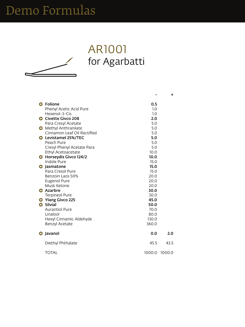### AR1001 for Agarbatti

| <b>G</b> Folione                    | 0.5    |        |
|-------------------------------------|--------|--------|
| <b>Phenyl Acetic Acid Pure</b>      | 1.0    |        |
| Hexenol-3-Cis                       | 1.0    |        |
| G Civette Givco 208                 | 2.0    |        |
| Para Cresyl Acetate                 | 5.0    |        |
| <b>G</b> Methyl Anthranilate        | 5.0    |        |
| Cinnamon Leaf Oil Rectified         | 5.0    |        |
| G Levistamel 25%/TEC                | 5.0    |        |
| Peach Pure                          | 5.0    |        |
| Cresyl Phenyl Acetate Para          | 5.0    |        |
| <b>Ethyl Acetoacetate</b>           | 10.0   |        |
| <b>G</b> Horseydis Givco 124/2      | 10.0   |        |
| <b>Indole Pure</b>                  | 15.0   |        |
| <b>Jasmatone</b><br>$\bullet$       | 15.0   |        |
| Para Cresol Pure                    | 15.0   |        |
| Benzoin Laos 50%                    | 20.0   |        |
| <b>Eugenol Pure</b>                 | 20.0   |        |
| Musk Ketone                         | 20.0   |        |
| <b>G</b> Azarbre                    | 30.0   |        |
| <b>Terpineol Pure</b>               | 30.0   |        |
| <b>Ylang Givco 225</b><br>$\bullet$ | 45.0   |        |
| <b>G</b> Silvial                    | 50.0   |        |
| <b>Aurantiol Pure</b>               | 70.0   |        |
| Linalool                            | 80.0   |        |
| Hexyl Cinnamic Aldehyde             | 130.0  |        |
| <b>Benzyl Acetate</b>               | 360.0  |        |
| Javanol                             | 0.0    | 2.0    |
| Diethyl Phthalate                   | 45.5   | 43.5   |
| <b>TOTAL</b>                        | 1000.0 | 1000.0 |

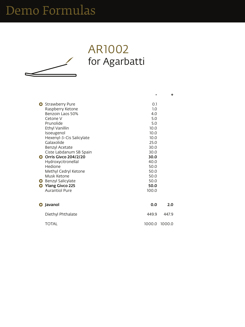### AR1002 for Agarbatti

| <b>G</b> Strawberry Pure |                          | 0.1     |  |
|--------------------------|--------------------------|---------|--|
|                          | Raspberry Ketone         | 1.0     |  |
|                          | <b>Benzoin Laos 50%</b>  | 4.0     |  |
| Cetone V                 |                          | 5.0     |  |
| Prunolide                |                          | 5.0     |  |
| <b>Ethyl Vanillin</b>    |                          | 10.0    |  |
| Isoeugenol               |                          | 10.0    |  |
|                          | Hexenyl-3-Cis Salicylate | 10.0    |  |
| $C_2$ lavolido           |                          | $\n  o$ |  |

Calavolido

| Galaxolige                    | Z5.U  |                  |
|-------------------------------|-------|------------------|
| <b>Benzyl Acetate</b>         | 30.0  |                  |
| Ciste Labdanum SB Spain       | 30.0  |                  |
| <b>G</b> Orris Givco 204/2/20 | 30.0  |                  |
| Hydroxycitronellal            | 40.0  |                  |
| Hedione                       | 50.0  |                  |
| Methyl Cedryl Ketone          | 50.0  |                  |
| Musk Ketone                   | 50.0  |                  |
| <b>G</b> Benzyl Salicylate    | 50.0  |                  |
| <b>G</b> Ylang Givco 225      | 50.0  |                  |
| <b>Aurantiol Pure</b>         | 100.0 |                  |
|                               |       |                  |
| <b>G</b> Javanol              | 0.0   | 2.0 <sub>1</sub> |
| Diethyl Phthalate             | 449.9 | 447.9            |
| <b>TOTAL</b>                  |       | 1000.0 1000.0    |

**+**

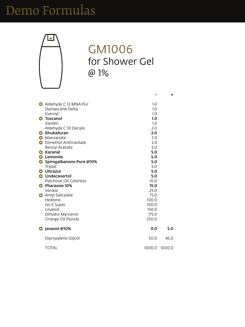

### GM1006 for Shower Gel @ 1%

| Aldehyde C 12 MNA Pur   | 1.0 |
|-------------------------|-----|
| Damascone Delta         | 1.0 |
| Evernyl                 | 1.0 |
| <b>G</b> Toscanol       | 1.0 |
| Vanillin                | 1.0 |
| Aldehyde C 10 Decylic   | 2.0 |
| <b>G</b> Rhubafuran     | 2.0 |
| <b>G</b> Manzanate      | 3.0 |
| A Dimathyl Anthranilata | 3 U |

|           | <b>G</b> Dimethyl Anthranilate | 3.0         |        |
|-----------|--------------------------------|-------------|--------|
|           | <b>Benzyl Acetate</b>          | 5.0         |        |
| G         | Karanal                        | 5.0         |        |
| $\bullet$ | Lemonile                       | 5.0         |        |
|           | G Spirogalbanone Pure @10%     | 5.0         |        |
|           | <b>Triplal</b>                 | 5.0         |        |
|           | <b>G</b> Ultrazur              | 5.0         |        |
|           | <b>G</b> Undecavertol          | 5.0         |        |
|           | Patchouli Oil Colorless        | 10.0        |        |
|           | <b>G</b> Pharaone 10%          | <b>15.0</b> |        |
|           | Verdox                         | 25.0        |        |
|           | <b>G</b> Amyl Salicylate       | 75.0        |        |
|           | Hedione                        | 100.0       |        |
|           | <b>Iso E Super</b>             | 100.0       |        |
|           | Linalool                       | 150.0       |        |
|           | Dihydro Myrcenol               | 175.0       |        |
|           | Orange Oil Florida             | 250.0       |        |
|           | G Javanol @10%                 | 0.0         | 5.0    |
|           | Dipropylene Glycol             | 50.0        | 45.0   |
|           | <b>TOTAL</b>                   | 1000.0      | 1000.0 |

**+**

**-**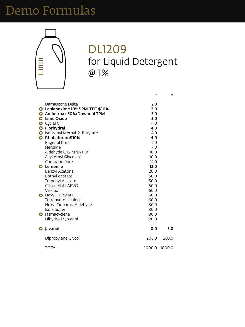

#### DL1209 for Liquid Detergent @ 1%

| Damascone Delta                   | 2.0 |
|-----------------------------------|-----|
| G Labienoxime 10%/IPM-TEC @10%    | 2.0 |
| <b>G</b> Ambermax 50%/Dowanol TPM | 3.0 |
| <b>G</b> Lime Oxide               | 3.0 |
| <b>G</b> Cyclal C                 | 4.0 |
| <b>G</b> Florhydral               | 4.0 |
| G Isopropyl Methyl-2-Butyrate     | 4.0 |
| <b>G</b> Rhubafuran @10%          | 4.0 |
| <b>Eugenol Pure</b>               | 7.0 |

| EUREIJUI PUIE<br><b>Neroline</b> |                             | 7.U<br>7.0 |        |
|----------------------------------|-----------------------------|------------|--------|
|                                  | Aldehyde C 12 MNA Pur       | 10.0       |        |
|                                  | <b>Allyl Amyl Glycolate</b> | 10.0       |        |
| <b>Coumarin Pure</b>             |                             | 12.0       |        |
| <b>G</b> Lemonile                |                             | 12.0       |        |
| <b>Benzyl Acetone</b>            |                             | 20.0       |        |
| <b>Bornyl Acetate</b>            |                             | 50.0       |        |
|                                  | <b>Terpenyl Acetate</b>     | 50.0       |        |
|                                  | Citronellol LAEVO           | 50.0       |        |
| Verdox                           |                             | 60.0       |        |
| <b>G</b> Hexyl Salicylate        |                             | 60.0       |        |
|                                  | <b>Tetrahydro Linalool</b>  | 60.0       |        |
|                                  | Hexyl Cinnamic Aldehyde     | 80.0       |        |
| <b>Iso E Super</b>               |                             | 80.0       |        |
| G Jasmacyclene                   |                             | 80.0       |        |
|                                  | Dihydro Myrcenol            | 120.0      |        |
| <b>G</b> Javanol                 |                             | 0.0        | 3.0    |
|                                  | Dipropylene Glycol          | 206.0      | 203.0  |
| <b>TOTAL</b>                     |                             | 1000.0     | 1000.0 |

**+**

**-**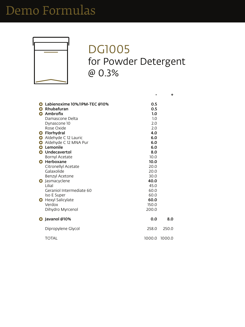

#### DG1005 for Powder Detergent @ 0.3%

| G Labienoxime 10%/IPM-TEC @10%<br><b>G</b> Rhubafuran | 0.5<br>0.5 |
|-------------------------------------------------------|------------|
| <b>G</b> Ambrofix                                     | 1.0        |
| Damascone Delta                                       | 1.0        |
| Dynascone 10                                          | 2.0        |
| Rose Oxide                                            | 2.0        |
| <b>G</b> Florhydral                                   | 4.0        |
| Aldehyde C 12 Lauric                                  | 6.0        |
| Aldehyde C 12 MNA Pur                                 | 6.0        |

|           | Aldehyde C 12 MNA Pur      | 6.0    |        |
|-----------|----------------------------|--------|--------|
| $\bullet$ | Lemonile                   | 6.0    |        |
|           | <b>G</b> Undecavertol      | 8.0    |        |
|           | <b>Bornyl Acetate</b>      | 10.0   |        |
| $\bullet$ | Herboxane                  | 10.0   |        |
|           | <b>Citronellyl Acetate</b> | 20.0   |        |
|           | Galaxolide                 | 20.0   |        |
|           | <b>Benzyl Acetone</b>      | 30.0   |        |
|           | <b>G</b> Jasmacyclene      | 40.0   |        |
|           | Lilial                     | 45.0   |        |
|           | Geraniol Intermediate 60   | 60.0   |        |
|           | <b>Iso E Super</b>         | 60.0   |        |
|           | <b>G</b> Hexyl Salicylate  | 60.0   |        |
|           | Verdox                     | 150.0  |        |
|           | Dihydro Myrcenol           | 200.0  |        |
|           | G Javanol @10%             | 0.0    | 8.0    |
|           | Dipropylene Glycol         | 258.0  | 250.0  |
|           | <b>TOTAL</b>               | 1000.0 | 1000.0 |
|           |                            |        |        |

**+**

**-**